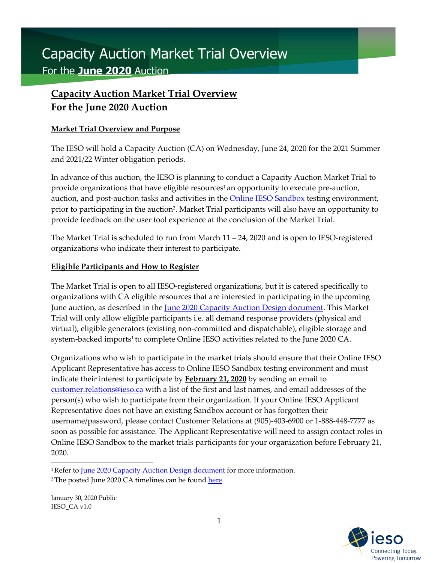# Capacity Auction Market Trial Overview For the **June 2020** Auction

## **Capacity Auction Market Trial Overview For the June 2020 Auction**

#### **Market Trial Overview and Purpose**

The IESO will hold a Capacity Auction (CA) on Wednesday, June 24, 2020 for the 2021 Summer and 2021/22 Winter obligation periods.

In advance of this auction, the IESO is planning to conduct a Capacity Auction Market Trial to provide organizations that have eligible resources<sup>1</sup> an opportunity to execute pre-auction, auction, and post-auction tasks and activities in the **Online IESO Sandbox** testing environment, prior to participating in the auction2. Market Trial participants will also have an opportunity to provide feedback on the user tool experience at the conclusion of the Market Trial.

The Market Trial is scheduled to run from March 11 – 24, 2020 and is open to IESO-registered organizations who indicate their interest to participate.

#### **Eligible Participants and How to Register**

The Market Trial is open to all IESO-registered organizations, but it is catered specifically to organizations with CA eligible resources that are interested in participating in the upcoming June auction, as described in the <u>June 2020 Capacity Auction Design document</u>. This Market Trial will only allow eligible participants i.e. all demand response providers (physical and virtual), eligible generators (existing non-committed and dispatchable), eligible storage and system-backed imports<sup>1</sup> to complete Online IESO activities related to the June 2020 CA.

Organizations who wish to participate in the market trials should ensure that their Online IESO Applicant Representative has access to Online IESO Sandbox testing environment and must indicate their interest to participate by **February 21, 2020** by sending an email to [customer.relations@ieso.ca](mailto:customer.relations@ieso.ca) with a list of the first and last names, and email addresses of the person(s) who wish to participate from their organization. If your Online IESO Applicant Representative does not have an existing Sandbox account or has forgotten their username/password, please contact Customer Relations at (905)-403-6900 or 1-888-448-7777 as soon as possible for assistance. The Applicant Representative will need to assign contact roles in Online IESO Sandbox to the market trials participants for your organization before February 21, 2020.

January 30, 2020 Public IESO\_CA v1.0



<sup>&</sup>lt;sup>1</sup> Refer to [June 2020 Capacity Auction Design document](http://www.ieso.ca/-/media/Files/IESO/Document-Library/engage/ca/ca-20191206-capacity-auction-design.pdf?la=en) for more information.

<sup>&</sup>lt;sup>2</sup> The posted June 2020 CA timelines can be found here.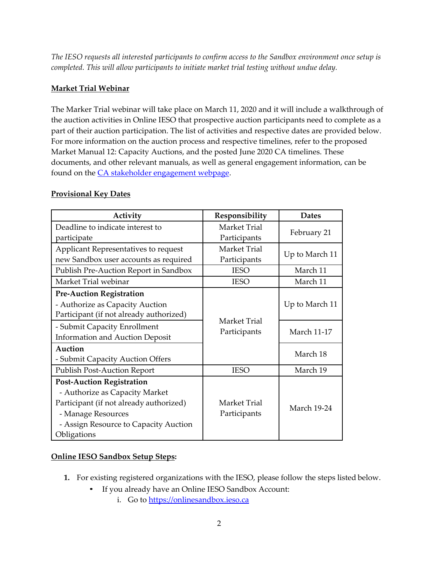*The IESO requests all interested participants to confirm access to the Sandbox environment once setup is completed. This will allow participants to initiate market trial testing without undue delay.*

#### **Market Trial Webinar**

The Marker Trial webinar will take place on March 11, 2020 and it will include a walkthrough of the auction activities in Online IESO that prospective auction participants need to complete as a part of their auction participation. The list of activities and respective dates are provided below. For more information on the auction process and respective timelines, refer to the proposed Market Manual 12: Capacity Auctions, and the posted June 2020 CA timelines. These documents, and other relevant manuals, as well as general engagement information, can be found on the [CA stakeholder engagement webpage.](http://www.ieso.ca/en/Sector-Participants/Engagement-Initiatives/Engagements/Capacity-Auction)

#### **Provisional Key Dates**

| Activity                                                                                                                                                                                    | Responsibility               | <b>Dates</b>       |  |  |
|---------------------------------------------------------------------------------------------------------------------------------------------------------------------------------------------|------------------------------|--------------------|--|--|
| Deadline to indicate interest to                                                                                                                                                            | <b>Market Trial</b>          | February 21        |  |  |
| participate                                                                                                                                                                                 | Participants                 |                    |  |  |
| Applicant Representatives to request                                                                                                                                                        | Market Trial                 |                    |  |  |
| new Sandbox user accounts as required                                                                                                                                                       | Participants                 | Up to March 11     |  |  |
| Publish Pre-Auction Report in Sandbox                                                                                                                                                       | <b>IESO</b>                  | March 11           |  |  |
| Market Trial webinar                                                                                                                                                                        | <b>IESO</b>                  | March 11           |  |  |
| <b>Pre-Auction Registration</b><br>- Authorize as Capacity Auction<br>Participant (if not already authorized)                                                                               |                              | Up to March 11     |  |  |
| - Submit Capacity Enrollment<br><b>Information and Auction Deposit</b>                                                                                                                      | Market Trial<br>Participants | <b>March 11-17</b> |  |  |
| Auction<br>- Submit Capacity Auction Offers                                                                                                                                                 |                              | March 18           |  |  |
| <b>Publish Post-Auction Report</b>                                                                                                                                                          | <b>IESO</b>                  | March 19           |  |  |
| <b>Post-Auction Registration</b><br>- Authorize as Capacity Market<br>Participant (if not already authorized)<br>- Manage Resources<br>- Assign Resource to Capacity Auction<br>Obligations | Market Trial<br>Participants | <b>March 19-24</b> |  |  |

#### **Online IESO Sandbox Setup Steps:**

- **1.** For existing registered organizations with the IESO, please follow the steps listed below.
	- If you already have an Online IESO Sandbox Account:
		- i. Go to [https://onlinesandbox.ieso.ca](https://onlinesandbox.ieso.ca/)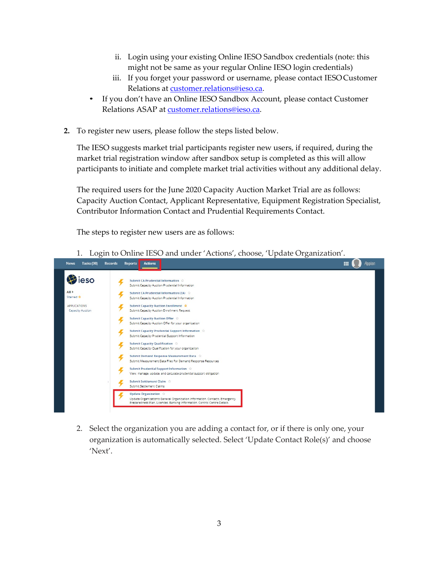- ii. Login using your existing Online IESO Sandbox credentials (note: this might not be same as your regular Online IESO login credentials)
- iii. If you forget your password or username, please contact IESOCustomer Relations at [customer.relations@ieso.ca.](mailto:customer.relations@ieso.ca)
- If you don't have an Online IESO Sandbox Account, please contact Customer Relations ASAP at [customer.relations@ieso.ca.](mailto:customer.relations@ieso.ca)
- **2.** To register new users, please follow the steps listed below.

The IESO suggests market trial participants register new users, if required, during the market trial registration window after sandbox setup is completed as this will allow participants to initiate and complete market trial activities without any additional delay.

The required users for the June 2020 Capacity Auction Market Trial are as follows: Capacity Auction Contact, Applicant Representative, Equipment Registration Specialist, Contributor Information Contact and Prudential Requirements Contact.

The steps to register new users are as follows:

1. Login to Online IESO and under 'Actions', choose, 'Update Organization'.



2. Select the organization you are adding a contact for, or if there is only one, your organization is automatically selected. Select 'Update Contact Role(s)' and choose 'Next'.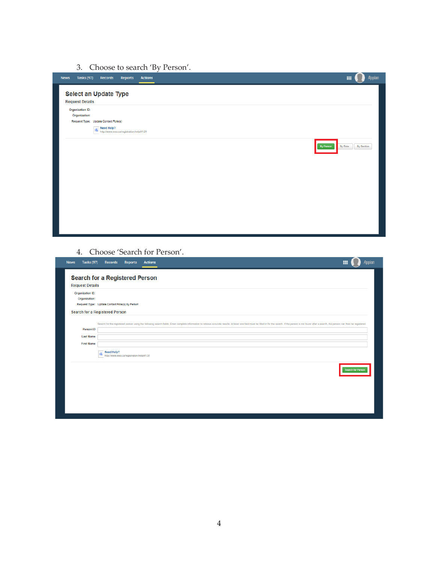3. Choose to search 'By Person'.



4. Choose 'Search for Person'.

| <b>Tasks (97)</b><br><b>News</b>                   | <b>Records</b><br><b>Actions</b><br><b>Reports</b>                                                                                                                                                                             | <b>Appian</b><br>m       |
|----------------------------------------------------|--------------------------------------------------------------------------------------------------------------------------------------------------------------------------------------------------------------------------------|--------------------------|
| <b>Request Details</b>                             | <b>Search for a Registered Person</b>                                                                                                                                                                                          |                          |
| Organization ID:<br>Organization:                  | Request Type: Update Contact Role(s) by Person<br>Search for a Registered Person                                                                                                                                               |                          |
| Person ID<br><b>Last Name</b><br><b>First Name</b> | Search for the registered person using the following search fields. Enter complete information to retrieve accurate results. At least one field must be filled in for the search. If the person is not found after a search, t |                          |
|                                                    | Need Help?<br>http://www.ieso.ca/registration.help/#1.31                                                                                                                                                                       |                          |
|                                                    |                                                                                                                                                                                                                                | <b>Search for Person</b> |
|                                                    |                                                                                                                                                                                                                                |                          |
|                                                    |                                                                                                                                                                                                                                |                          |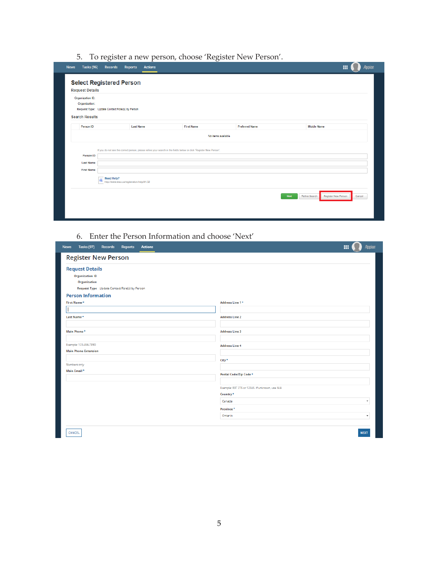5. To register a new person, choose 'Register New Person'.

| Organization ID:<br>Organization: |                                                                                                                     |                    |                       |                    |
|-----------------------------------|---------------------------------------------------------------------------------------------------------------------|--------------------|-----------------------|--------------------|
| <b>Search Results</b>             | Request Type: Update Contact Role(s) by Person                                                                      |                    |                       |                    |
| Person ID                         | <b>Last Name</b>                                                                                                    | <b>First Name</b>  | <b>Preferred Name</b> | <b>Middle Name</b> |
|                                   |                                                                                                                     | No items available |                       |                    |
|                                   |                                                                                                                     |                    |                       |                    |
| Person ID                         | If you do not see the correct person, please refine your search in the fields below or click 'Register New Person'. |                    |                       |                    |
| <b>Last Name</b>                  |                                                                                                                     |                    |                       |                    |
| <b>First Name</b>                 |                                                                                                                     |                    |                       |                    |
|                                   |                                                                                                                     |                    |                       |                    |

### 6. Enter the Person Information and choose 'Next'

| <b>News</b><br><b>Tasks (97)</b><br><b>Reports</b><br><b>Actions</b><br><b>Records</b> | Appian<br>田                                    |
|----------------------------------------------------------------------------------------|------------------------------------------------|
| <b>Register New Person</b>                                                             |                                                |
| <b>Request Details</b>                                                                 |                                                |
| <b>Organization ID</b>                                                                 |                                                |
| Organization                                                                           |                                                |
| Request Type Update Contact Role(s) by Person                                          |                                                |
| <b>Person Information</b>                                                              |                                                |
| First Name *                                                                           | Address Line 1 *                               |
|                                                                                        |                                                |
| Last Name +                                                                            | <b>Address Line 2</b>                          |
|                                                                                        |                                                |
| Main Phone*                                                                            | <b>Address Line 3</b>                          |
|                                                                                        |                                                |
| Example: 123-456-7890<br><b>Main Phone Extension</b>                                   | <b>Address Line 4</b>                          |
|                                                                                        |                                                |
| Numbers only                                                                           | $City*$                                        |
| Main Email <sup>\$</sup>                                                               |                                                |
|                                                                                        | Postal Code/Zip Code *                         |
|                                                                                        |                                                |
|                                                                                        | Example: R3T 2T5 or 12345. If unknown, use N/A |
|                                                                                        | Country <sup>*</sup>                           |
|                                                                                        | Canada<br>$\check{\phantom{a}}$                |
|                                                                                        | Province <sup>\$</sup>                         |
|                                                                                        | Ontario<br>$\overline{\phantom{a}}$            |
|                                                                                        |                                                |
| CANCEL                                                                                 | <b>NEXT</b>                                    |